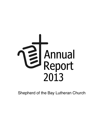

Shepherd of the Bay Lutheran Church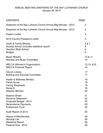## ANNUAL MEETING SHEPHERD OF THE BAY LUTHERAN CHURCH January 26, 2014

| <b>CONTENTS</b>                                               | <b>PAGE</b>    |
|---------------------------------------------------------------|----------------|
| Shepherd of the Bay Lutheran Church Annual Mtg Minutes - 2013 | $\overline{2}$ |
| Shepherd of the Bay Lutheran Church Annual Mtg Minutes - 2012 | 3              |
| Pastor's Letter                                               | $\overline{4}$ |
| 2013 Council President's Letter                               | 5              |
| Youth & Family Ministry                                       | 6 & 7          |
| Sunday School (includes statistical report)                   | 8              |
| <b>Vacation Bible School</b>                                  | 9              |
| <b>Bridges</b>                                                | 9              |
| <b>Music Ministry</b>                                         | 10 & 11        |
| <b>Worship and Music Committee</b>                            | 12             |
| <b>WELCA (Women's Organization)</b>                           | 13,14, & 15    |
| <b>WELCA Financial Report</b>                                 | 16             |
| <b>Church Library</b>                                         | 17             |
| <b>Building and Grounds Committee</b>                         | 17             |
| <b>Health &amp; Wellness Ministry</b>                         | 18             |
| <b>Parish Nurse</b>                                           | 18             |
| <b>Caring Shepherds</b>                                       | 19             |
| Social 6                                                      | 19             |
| <b>Stephen Ministry</b>                                       | 20             |
| <b>Balance Sheet</b>                                          | 21             |
| <b>Revenue Statement</b>                                      | 22             |
| Proposed Budget - 2014                                        | 22             |
| <b>Benevolence Payments</b>                                   | 23             |
| <b>Endowment Fund</b>                                         | 24             |
| Audit Report of 2013                                          | 25             |
| <b>Report of Membership</b>                                   | 26             |
| <b>Worship Life</b>                                           | 26             |
| <b>Statistical Report</b>                                     | 26             |
| Pastoral Acts - 2013                                          | 26             |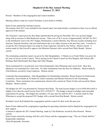## **Shepherd of the Bay Annual Meeting January 27, 2013**

Present: Members of the congregation and council members

Meeting called to order by Council President, Lawrie Kull at 10:00am

Pastor Foster opened the meeting in prayer.

The minutes from 2012 were included in the Annual report, but inadvertently overlooked so there was no official approval of the minutes.

The Treasurer's report given by Ron Hupe reported that the giving for December 2012 was up from budget along with an increase in Debt Reduction income. There was a P & L excess of approximately \$43,867 for 2012 so the distribution went to the 2013 budget, Reformation, Laotion Ministry, Pay Mission receipts including local missions, Pastoral transition, and year-end bonuses due to no salary increase in the past four years. A motion to accept the 2012 Financial report was made by Greg Casperson, Second by Jim Nelson. Motion carried. A motion made by Dan Farwell to approve the Missions Payment with a second from Wally Brandt. Motion carried.

The nominating committee report was given by John Skogsbakken. A Thank you to Frank Weber was given for his years of service on the Council. Those staying on the Church Council are Ken Bergner, Judi Nelson, Bill Henning, Barb MacDonald, Ron Hupe and Cathy Mangan.

Those nominated for a second term were Alicia Kropuenske, Stan Whiteman and Lawrie Kull. Mary Kay Shumway was nominated for a first term. No other nominations from the floor for additions. Motion made by Clint Robison, second by Greg Casperson. Motion carried.

Committee Recommendations: John Skogsbakken for Scholarship committee, Werner Krause for Endowment Committee, Scott Schultz & Al Strack for Audit Committee and Marilyn Peterson for the Nominating Committee. Those nominated were unanimously elected with a motion by Diane Overby and second by Bunny Sheahen. Motion carried.

The Budget for 2013 was presented by Treasurer Ron Hupe. The total income budget is set at \$505,844 which is slightly lower than the actual income from 2012 of \$528,377. The budget is based on pledges and reasonable expectations for giving. The budget also includes a 2% pay raise for staff for 2013. A motion made by Stan Whiteman to accept the proposed 2013 budget with a second from Rita Brandt. Motion carried.

President Lawrie Kull thanked the congregation and the council for their work this past year.

Pastor Foster addressed the congregation regarding his upcoming retirement and he thanked the congregation for their support.

A motion to adjourn the 2013 Annual Meeting made by Clint Robinson, second by Ron Howard. Motion carried.

Pastor Foster closed the meeting with the Lord's Prayer and the congregation sang, "This my Church shall be." Respectfully submitted,

Alicia Kropuenske, Secretary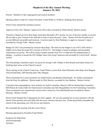#### **Shepherd of the Bay Annual Meeting January 29, 2012**

Present: Members of the congregation and council members

Meeting called to order by Council President, Frank Weber at 10:00a.m. thanking those present.

Pastor Foster opened the meeting in prayer.

Approval of the 2011 Minutes: Approved by Don Luker seconded by Wally Brandt. Motion carried.

Treasurer's Report given by Ron Hupe stated that December 2011 giving was one of the best months on record. We are able to give a bonus to the staff due to lack of raises the past 3 years. Monies will also be paid out to several different non profits and missions. A motion made by Don Pardonner to approve treasurer's report, seconded by George Cobb. Motion carried

Budget for 2012 was presented by treasurer Ron Hupe. The total income budget is set at \$511,050 which is slightly lower than the actual 2011 income of \$536,732. The budget is based on pledges and reasonable expectations for giving. We will be using a surplus transfer from 2011 to help ease the underpayment of pledges. A motion to accept the 2012 budget came from Greg Casperson and seconded by Lawrie Kull. Motion carried.

The Nominating Committee report was given by George Cobb. Thanks to Rita Brandt and Sandy Synnes for finishing their terms on the Church Council.

Those staying on the Church Council are: Frank Weber, Lawrie Kull, Stan Whiteman, Ron Hupe, Ken Bergner, Alicia Kropuenske, Bill Henning and Cathy Mangan.

Those nominated for Council positions are Judith Nelson and Barbara MacDonald. No further nominations from the floor for additions. Motion made by Dick Burress, seconded by Sue Daubner. Motion Carried.

Committee Recommendations: Scott Schultz for Audit Committee, Sharon Cobb for Scholarship Committee, Bill Matson & Linda Zielke for Endowment Committee and John Skogsbakken for the Nominating Committee. Those nominated were unanimously elected with a motion by Tom MacDonald and seconded by Donna Henning. Motion Carried.

Pastor Foster thanked the Congregation for their support. He was also grateful for an easy transition with the Parish Nurse position and extra help with the music ministry this past year. Please prayerfully remember the church in the upcoming year with service and ministry.

We concluded the meeting with the Lord's Prayer.

Meeting adjourned by President Frank Weber.

Respectively Submitted, Alicia Kropuenske Secretary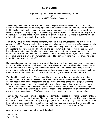## **Pastor's Letter -**

#### The Reports of My Death Have Been Greatly Exaggerated or Why I Am NOT Ready to Retire Yet

I have many pastor friends over the years who have spent time sharing with me how much they dislike or are frustrated with their congregations. If the complaints get too frequent, I tell the pastor that I think he should be looking either to get a new congregation or retire from ministry early. My reason is simple. To be a parish pastor you not only have to love God but also love the people whom you serve. Yes we are called by Jesus to love our enemies, but it is really hard to put in the time and effort that it takes to be a pastor if you actively dislike your members.

That's why I have the really strange title for my thoughts in this annual report. The first line is, of course, from Mark Twain when his death was mistakenly reported (it was his less famous cousin who died). The second line comes from a problem I have been trying to deal with this year. Since it is impossible to hide my age (I'll be 65 in April), and since I want to be honest with the congregation, I have shared with the council and members who have asked that I am planning to retire in the summer of 2015 after I turn 66 and can receive full Social Security. However, Door County being what it is, I have had to explain to any number of people, "No, I am not retiring yet. Yes, I am going to be around for over a year and a half."

But the real reason I am not retiring yet is simply I enjoy my work too much and I love my members too much. Unlike my unhappy fellow pastors, I have always felt that it is a joy and privilege to serve you. As a matter of fact, I enjoy it so much that I realize that the transition to not being a pastor is going to be difficult. Yes there are frustrations as there are in any aspect of life. Stewardship should be easier in the kind of community in which we live. Getting volunteers can be a real pain.

Yet when I think back over the 24+ years and look forward to my last two years the over riding emotion is joy. I have been so blessed. I have been blessed with a wonderful collection of staff and support people. They are so responsible and so creative that most of the time I simply bask in the light of their success. I have been blessed with lay people who have taken ownership of so many aspects of the church life that I don't have to even think twice about whether or not something is going to get done. This has allowed me to concentrate on the elements of parish ministry that I both enjoy and have some talent in. That's what makes it so much fun to come to work each day.

There is, however, another group of people I wish to thank. I suppose most would call them "ordinary members." That's too bland however. They are in fact extra ordinary members. They the quiet people who show up week after week. They get their pledges in on time. They bring bars for a funeral. They help with a Bridges event. They invite their new next door neighbor to church. They pray and hope. They sin and ask for forgiveness. They are ignored by the world and cherished by God.

And they are the reason I am not yet ready to retire!

Your Pastor, Bruce Foster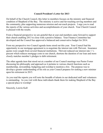## **Council President's Letter for 2013**

On behalf of the Church Council, this letter to members focuses on the ministry and financial condition of Shepherd of the Bay. The ministry is active and far-reaching serving members and the community, plus supporting numerous mission and out-reach projects. I urge you to read the reports of the various activities and accomplishments of your church. Your Church Council is pleased with the results.

From a financial perspective we are grateful that at year end members came forward to support their church enabling 2013 to close with a positive balance. Your Finance Committee has developed and the Council has approved a balanced and conservative budget for 2014.

From my perspective two Council agenda items stood out this year. Your Council had the opportunity in our mortgage agreement to re-negotiate the interest rate with Thrivent. Insurance quotes were sought from several financial institutions. Thrivent reduced our interest rate 1 ¼ percent which reduces mortgage costs to our church, shortens the duration of our loan and more closely matches member's pledges to debt retirement.

The other agenda item that stood out at a number of our Council meetings was Pastor Foster discussing his philosophy and approach as it pertains to various church functions such as membership, stewardship, budgeting and worship to mention a few. The purpose was to develop a greater understanding of his role as your Council prepares for seeking a new minister upon his retirement in 2015.

As you read the reports you will note the breadth of talents in our dedicated staff and volunteers is outstanding. As you visit with these individuals thank them for making Shepherd of the Bay a special place to worship!

Sincerely, Lawrie Kull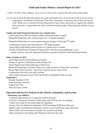## **Youth and Family Ministry Annual Report for 2013**

1 John 3:18 (NIV), Dear children, let us not love with words or speech but with actions and in truth.

 As you can see from the following report, the youth and families have lived out their faith in service to the congregation, community, and beyond. It has been a blessing to walk along side of them serving our Lord. Thank you to everyone who has shared gifts of time, talent, and money to support this ministry. Your generosity is appreciated and vital to keep this ministry going. Please keep this ministry in your prayers.

#### **Family and Youth Programs that meet on a regular basis:**

Little Lambs Story Hour for infants, toddlers and preschoolers (weekly) Wonderful Wednesday after school program for 1-6 grades (monthly)

Wonderful Wednesday six-week summer program for ages 3-4 through  $6<sup>th</sup>$  grades

Confirmation Classes and Fellowship for  $7-8$ <sup>th</sup> grade (weekly)

Senior High Youth Dinner and Devotions 9-12 grade (twice a month)

Friends in Faith Mentor Program for high school youth (four group gatherings a year)

Family Activities (hayride, Operation Christmas, pancake breakfast, Tasha Schuh/open house)

#### **Other Activities in 2013**

 Junior High Synod Youth Gathering in Neenah Summer Camp for Confirmation youth at Imago Dei Senior High Synod Youth Gathering in Manitowoc Wonderful Wednesday Activities: Sleep over, camp weekend at Imago Dei, swimming Senior High Youth Activities: The Great Couch Event, ice-cream social Confirmation Activities: mini golf, bowling Little Lambs Outreach Events: Fall Festival Party and Birthday Party for Jesus

#### **Fundraisers:**

 Pancake breakfast: \$728 Easter breakfast: \$654.00 Camp Fund: \$720 Thrivent Funds: \$1000

#### **Outreach and Service Projects in the church, community, and beyond:**

#### **Elementary age children:**

 Continued sponsorship of a Compassion child in Rwanda 62 boxes to Operation Christmas Child, along with \$7.00 per box for shipping. 9 quilts were made for the senior high 2013 graduates Swing a Thon for Habitat for Humanity \$3,500 (including \$1000 from Thrivent) Baked cookies for Habitat for Humanity workers, Loaves and Fishes, and coffee hour Made truffles and boxed them for people who needed comforting Made notecards to sell (along with Christmas cards from last year)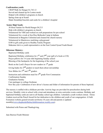#### **Confirmation youth:**

CROP Walk for Hunger \$1,743.12 Served and cleaned up for Lenten meals Helped with children's programs at church Spring clean up at Scand Made friendship bracelets and cards for a children's hospital

#### **Senior High Youth:**

 30 Hour Famine for World Hunger \$4,213 Help with children's programs at church Volunteered for VBS and worked on craft preparations for pre-school Volunteered for a week at Son Rise Bethesda Camp in Indiana Volunteered at Bargains Unlimited and cleaned the church nursery Volunteered in Manitowoc mulching a playground \$100 in gift cards given to Healthy Family Program Makenna Ash is a youth representative on the East Central Synod Youth Board

#### **Milestone Ministry:**

Baptismal Birthday cards

Baptismal Birthday celebration for  $1<sup>st</sup>$  and  $2<sup>nd</sup>$  year (gift of a book or CD) Prayer pillows for 3-4 year olds beginning Sunday school Blessing of the backpacks for the beginning of the school year Book on the Lord's Prayer for new readers in 1<sup>st</sup> grade Giving banks for  $2<sup>nd</sup>$  graders to teach them about stewardship New Bibles for  $3^{\text{rd}}$  and  $7^{\text{th}}$  graders Instruction and celebration meal for  $5<sup>th</sup>$  grade First Communion Confirmation Sunday

 Graduation Sunday Care packages to college freshman New this year: Celebration of new driver's license and folder of information for parents of those baptized.

The nursery is staffed with a childcare provider. Activity bags are provided for preschoolers during both services. Monthly visits to school with a treat and attendance at extra curricular events continue. Birthday and baptismal birthday cards are sent to all Sunday school age children. I attended a youth workers retreat. Eloise Lindem received the Pencil Award for her dedication to the children and youth of our congregation. A Faith Formation website geared towards newborns-18 years old and parents is updated monthly([www.shepherdofthebayfaithformation.weebly.com](http://www.shepherdofthebayfaithformation.weebly.com/)).

Submitted with Praise and Thanksgiving,

Jane Burress/Youth Minister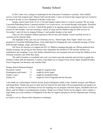# Sunday School

In 2013, there was a change in leadership for the Education Coordinator's position. After faithful service, Carol Ash resigned and I, Sharon Gall took the helm. I came on board in late August and was excited to be asked to do this, to serve Shepherd of the Bay in this way.

Sunday school meets from 10:15-11:30 each Sunday (unless there is a school vacation). We are using Concordia Publishing House's material entitled *Cross Explorations* for second through sixth grades. Preschool –First grade is using *Grow in Christ.* I lead all the grades in an opening session, preparing the classes for the lessons for that Sunday. I am also teaching a variety of songs and the children sang for both services on November 3 and will also be singing February 2 and another Sunday in late April.

There are also computer related experiences that tie into each Sunday's lesson and that activity is currently led by Jennifer Dahl.

The highlight of the year was our Christmas service, "Silent Night, Holy Night" which was a new program by Concordia Publishing House. Each child shared in bringing the most wonderful message of Jesus' birth through readings, songs, and action rhymes.

Our focus for mission is to support the ELCA's Malaria campaign through our offering gathered each Sunday morning. Our giving for this mission since September has totaled \$152.80 and this amount was submitted to the campaign. Every four dollars submitted buys one mosquito bed net to keep the children in less fortunate countries safe while they sleep.

The staff of teachers is wonderful and work very hard to provide materials and activities to guide the children in their faith development. I express a big thank you to Angela Foster, Kristi Appel, Kendall Koelher, Fawn Fitzgerald, Jan Stromen, and Jennifer Dahl.

| <b>Sunday School Statistical Report</b> |               |                                           |  |  |  |  |
|-----------------------------------------|---------------|-------------------------------------------|--|--|--|--|
| Preschool I and II                      | $\mathcal{L}$ | taught by Angela Foster                   |  |  |  |  |
| Kindergarten and Grade 1                | 9             | taught by Kristi Appel                    |  |  |  |  |
| Grades 2 and 3                          | 15            | taught by Kendall Koehler                 |  |  |  |  |
| Grades 4-6                              | 17            | taught by Fawn Fitzgerald and Jan Stromen |  |  |  |  |

I also thank our youth helpers: Rachel, Krista, Kayla Follingstad, Gabby Lettie, Isabelle Austgen, and Mikayla and Sarah Kifer. Thanks also goes to Judy and Carl Jackson for their help with accompaniment and speaker setup, Gladys Austgen in our Christmas service for rounding out our program with bell ringers, Elizabeth and Evan Henry, and for Gladys's accompaniment on piano. Thank you to Pastor Foster for his support. Also I express a huge thank you to the members of Shepherd of the Bay for support and prayers for this important part of being church.

In Christ's service, Sharon Gall, Education Coordinator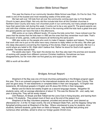## Vacation Bible School Report

This year the theme of our community Vacation Bible School was Elijah, On Fire for God. This week is one of the busiest and most rewarding weeks of the entire year.

We had well over 120 kids from all over the community coming each day to First Baptist Church to learn about Elijah. Not only did this include kids from all the Christian churches in Northern Door County and many non-churched youth in our community, but many people arrange to have their grand kids visit during this week. It works out to be a very good fit. The grand parents can visit with their children and have some adult time in the morning while the kids have a great time and the grand parents can have the kids in the afternoons.

VBS works on so many different levels. Of course the kids come first. I have noticed over the years that the stories that the kids learn in VBS are the ones that they remember much later. That's the power of skits, games, crafts and lessons all reinforcing the same point.

VBS also works on the people who work to make it happen, leaders and helpers. The teens that work with me to put on the skits have many chances to really reflect on the story. We often get into deep discussions concerning the meaning of the stories. Elijah is a good example. We live in a world where any belief is OK. Elijah didn't believe that. Rather he stood for God's truth against unbelief. The teens learned that.

The adults also learn. They learn the stories too. But they also learn the promise and rewards of working with people from different common Christian traditions. Sometimes we have disagreements, but far more often we find great joy and support for each other.

VBS is worth all the effort!

## Bridges Annual Report

Shepherd of the Bay was one of 6 local churches participating in the Bridges program again this year. This is an outreach program to the international students who work in Door County. This year we gave away 74 new testaments or complete bibles in their own languages, 15 English new testaments, 28 individual gospels in English and 29 Jesus film DVDs in their languages.

Marilyn and Ed Stone led weekly English as a second language classes. Altogether 55 students came, with an average attendance of about 15. This was the Stones 5th - and, sadly, last, year of doing this. They will be sorely missed.

Clint Robison, Al Straak and Bob Tidball led the Lions Club in fixing bicycles, and loaning them to about 170 students. They picked most of them up at the end of the season too!

Shepherd of the Bay volunteers prepared, provided and served food (and cleaned up afterwards!) for 2 of the 10 major events, the one at Newport State Park, and the Segway riding/ kite flying/leaf printing event at Shepherd of the Bay. Others volunteered to pray for students, drive students, befriend students, guide them on hikes at Newport, help facilitate leaf printing and numerous other activities, aimed to show our foreign guests Christ's love.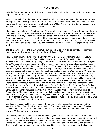#### Music Ministry

"Alleluia! Praise the Lord, my soul! I want to praise the Lord all my life. I want to sing to my God as long as I live." Psalm 146: 1-2

Martin Luther said, "Nothing on earth is so well suited to make the sad merry, the merry sad, to give courage to the despairing, to make the proud humble, to lessen envy and hate, as music." Everyone enjoys good music, and we certainly are blest here at SOTB. Not only do the SOTB musicians have outstanding talent; they also have wonderful giving hearts.

It has been a fantastic year. The Sanctuary Choir continues to sing every Sunday throughout the year (Kleinen Chor on Bach Sunday) and the Handbell Choir plays once a month. The Worship Team also sings and plays every Sunday for the Praise Service. The music at Shepherd of the Bay Lutheran Church expresses many styles: traditional hymns, contemporary gospel songs, sacred classics, and a wonderful Sunday of Bach (Many thanks to Judy Jackson). Thank you to Judy and Carl Jackson for those beautiful piano duets. Thank you also to Naomi Rowley for the excellent organ music every week.

It takes many people to make SOTB's music run smoothly for every single service. Please thank these people for their commitment to the Music Ministry in 2013:

Judy Jackson, Naomi Rowley, Carole Bergner, Ann Birnschein, Cheryl Becht, Challoner Brown, Sharon Cobb, Donna Henning, Carolyn Hitzeman, Myrma Howard, Donna Hupe, Roberta Kutlik, Helen Molzahn, Tom Vaaler, Cathy Mangan, Jan Mielke, Gloria Serkland, Jan Stromen, Sandy Synnes, Karen Wilkinson, Pat Skogsbakken, Sue Provo, Gail Prine, Jeanne Aurelius, Claire Baack, Jeanne Aurelius, Sue Daubner Mary Fales, Gen Follingstad, Vernamae Juel, Eloise Lindem, Barb MacDonald, Judi Nelson, Mary Perdue, Shirley Rosenquist, Sigrid Ostrem, Carol Weber, Robin Burchart, Juan Casanas, George Cobb, Dennis Fales, Ken Issel, Carl Jackson, Luanne Western, Carol Weymier, Ken Bergner, Bill Henning, Scott Henry, Bryan Follingstad, Erv Hitzeman, Jim Nelson, Gene Prine, Gordon Rowley, John Skogsbakken, Doug Peterson, Frank Weber, Keith Wickert, Christine Bridenhagen, Alicia Doudna, Cathy Henry, Barbara Gould, Cherilyn Boock, Grace and Cinnamon Rossman, Valerie, Isabelle, Matthew, Sarah, and Logan Austgen, Evan and Elizabeth Henry, Ava Hitzeman,Rachel, Krista, Kayla Follinstad, Gabbie Lettie, Mike, Mikey and Nick Davis, Myron and Pat Marlett, Peter Buress, Terrri and Lori Everson, Liz and Catherine Taylor, Olivia Potter, The Shepherd Boys, Desiree Hassler, Pamela Williams, John Concepcion, Dan Grantham with Cincinnati Hills Christian Accademy Band, Eric Suter, Marilyn Kaiser, the Weymier Family Handbell Choir, Peter Wickert, Eric and Ellen Olson, Marilyn Macdonald, Cindy Ackerman, and all the visitors who are welcome to sing with us anytime. If I've forgotten anyone, please forgive me. I am truly grateful for all who use their talents to the glory of God at SOTB. Thank you to over 200 people. Praise the Lord. Thank you also to all who made the Christmas Eve Services so special.

Besides our regular weekly choir schedule, the Sanctuary Choir presented two concerts at the Meadows in Sister Bay. Thank you to the Kleinen Chor (Judy Jackson plus orchestra :>) on Bach Sunday , and all of you for the worshipful Good Friday Service. You touched many hearts that evening, AND all to the glory of God.

The following concerts were held at our church this year with excellent attendance. Three Lenten Musicales, Naomi Rowley with Lori on cello, Carl and Judy Jackson on two pianos, and the Handbell and Sanctuary Choirs with Anne Saint Henry as reader, Lyric Opera personnel, Desiree Hassle, Pamela Williams, John Concepcion, and Judy Jackson, Organist Eric Suter, and Organist Marilyn Kaiser, Two Pianos - a benefit concert for Scandia-Good Samaritan - with Judy and Carl Jackson,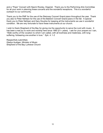and a "Pops" Concert with Naomi Rowley, Organist. Thank you to the Performing Arts Committee for all your work in planning these concerts and the wonderful receptions. This is a wonderful outreach to our community.

Thank you to the PMF for the use of the Steinway Concert Grand piano throughout the year. Thank you also to Peter Nehlsen for the use of the Baldwin Concert Grand piano in the fall. A special thank you to Peter Nehlsen and Gary Doudna for keeping all the instruments we use in wonderful condition. We are very fortunate to have these instruments at our church.

I wish to thank Shepherd of the Bay for giving me the opportunity to serve the Lord with music. It has been a real joy to work and worship here since 1992 (21+ years). I ask for your prayers so I can, "Walk worthy of the vocation to which I am called, with all lowliness and meekness, with longsuffering, forbearing one another in love." Eph. 4: 1-2

Respectfully submitted, Gladys Austgen, Minister of Music Shepherd of the Bay Lutheran Church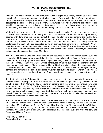#### **WORSHIP AND MUSIC COMMITTEE Annual Report 2013**

Working with Pastor Foster, Director of Music Gladys Austgen, music staff, individuals representing the Altar Guild, flower arrangements, and other aspects of our worship life, the Worship and Music Committee oversees and plans aspects of our worship services throughout the year. Building upon established traditions of this parish the WMC encourages ways for maintaining the vitality of our worship experience by staying informed about current trends and thinking about worship and by implementing refinements into our worship life throughout the seasons of the Church Year.

We benefit greatly from the dedication and talents of many individuals. This year we especially thank Jackie Hoekstra and Mary Lou St. Henry, who for years ensured that the chancel was appropriately adorned with floral arrangements throughout the year. In addition to coordinating the weekly floral arrangements donated by many of our parishioners, they also went the extra mile to highlight each of the three major festivals of the Church Year: poinsettias for Christmas, lilies and spring flowers for Easter including the floral cross decorated by the children, and red geraniums for Pentecost. We will miss their quiet, unassuming, yet unflaggingly loyal service. The WMC wishes them well as they now wish to pass the baton to others who can provide this service to our parish. Presently, volunteers are being sought to succeed Jackie and Mary Lou.

The WMC also thanks Carol Omernick, who, as she assumed full duties as church secretary, coped splendidly with transferring previous digital files for service bulletins to different software, making all the necessary and appropriate adjustments in layout, resulting in a smooth transition of this work into the church office. Thank you, Carol! Others contributed greatly to our worship experience through their musical leadership: Gladys Austgen, Naomi Rowley, Judy Jackson, the sanctuary choir, handbell ringers, and praise team. Carl Jackson at the audio controls monitored the system during services and formatted the sound recordings (CDs) for distribution to others. Sharon Pluff oversaw altar preparations and coordinated ushers. Don Howard hung banners. Keith Wickert scheduled readers.

The Performing Artists Subcommittee annually plans outreach to the community through special musical events. Highlights of 2013 included three Lenten Musicales presented by musicians of our parish; a concert on Memorial Day weekend by singers from the Lyric Opera Chorus, who also appeared as soloists in J. S. Bach's Cantata No. 184 ("Desired Light of Joy") as part of morning worship; concerts by guest organists Marilyn Keiser and Erik Wm. Suter, who also served as organist for a morning worship service; Judy and Carl Jackson's annual two-piano benefit concert; and Naomi Rowley's pipe organ "pops" concert. Kudos to the many individuals who prepared and served the receptions following many concerts.

The committee wishes to thank Judi Nelson for representing us to the Council. Members of the WMC include Pastor Foster, Gladys Austgen, Scott Henry, Jackie Hoekstra, Carl and Judy Jackson, Jim Nelson, Marilyn Peterson, Sharon Pluff, Naomi Rowley, Mary Lou St. Henry, and Karen Wilkinson (secretary). The Performing Artists Subcommittee includes the following individuals: Gladys Austgen, Alysanne & Dave Burkhardt, Gen Follingstad, Erv Hitzeman, Judy and Carl Jackson, and Gordon and Naomi Rowley.

Respectfully submitted, Gordon Rowley, chairperson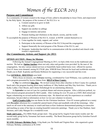# *Women of* th*e ELCA 2013*

#### **Purpose and Commitment**

As a community of women created in the image of God, called to discipleship in Jesus Christ, and empowered by the Holy Spirit; the purpose of the women of the ELCA is to:

- a. Commit ourselves to grow in faith
- b. Affirm our gifts
- c. Support one another in callings
- d. Engage in ministry and action
- e. Promote healing and wholeness in the church, society, and the world.

To accomplish the purpose of Women of the ELCA, women at SOTB commit themselves to:

- a. Come together for study, support, and action
- b. Participate in the ministry of Women of the ELCA beyond the congregation.
- c. Support financially the total program of the Women of the ELCA; and
- d. Designate leadership that shall be in communication with the synodical and church wide women's organization.

#### *Our Commitments, Actions, and Support for 2013:*

#### **OPTION AUCTION –Money for Missions**

Following the Annual Congregational Meeting in 2013, we had a little twist on the traditional cake auction. We had an **Option Auction** where not only cakes and goodies were provided by the men of the congregation, but also various talents/services or beautifully hand crafted items were offered for auction. Over 41 items were donated, raising \$3,370.00 plus \$500.00 from Thrivent for local and worldwide mission. Thank you to Ruth Kopitzke and Ronnie Robinson for organizing a very successful and fun event.

#### Four **GENERAL MEETINGS** were held:

With a focus on mission, our *February* meeting, coordinated by Carol Williams, was a potluck at noon and a program presented by Jessica Adams from **HELP of Door County.**

In *May* we celebrated **May Day**. We invited women from other churches in Door County for a potluck lunch and a fun program hearing about many traditions of May baskets and May Day festivities. Thank you to Kathy Luther, Cheri Boock, and Celeste Defenbaugh for an entertaining afternoon.

In *September* we met at 6 pm for a potluck dinner and mission program. After a delicious potluck, we had a mission program presented by Bob Landek. After working for over 30 years as a EMT, Bob retired and began volunteering on several medical missionary trips. He shared not only his experiences as a medical missionary, but provided us information on how we too can volunteer in mission.

**God's Creative Gifts** was our theme for the Christmas luncheon. Over 85 women gathered on a sunny cold *December* afternoon for a wonderful catered lunch of ham and meatballs with all the trimmings. After lunch we all went in the sanctuary to watch and learn as Kari Anderson demonstrated painting in watercolor and teaching us some of her tips on creating beautiful watercolor paintings. Thank you to Sue Daubner, Janet Stromen, and Cathy Mangan for a wonderful event.

**Study and Learn –** Two Bible Study groups meet. One group led by Angela Foster meets weekly and the second study group led by Vernamae Juel meets monthly. The Book Discussion group led by Gretchen Farwell meets monthly.

**SCAND February Birthday Party**. A big thank you Pat Smith and Virginia Henz who organized a great February Birthday celebration at SCAND.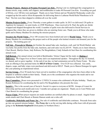**Mission Projects –Baskets of Promise Personal Care Kits –** During Lent we challenged the congregation to donate towels, soap, combs, nail clippers, and toothbrushes to make 40 Personal Care Kits. Exceeding our goal of 40 kits, over 100 kits were packaged. Thank you to June Nelson and our Wonderful Wednesday youth who wrapped up the kits and to Alicia Kropuenske for delivering them to Lutheran World Relief Warehouse in St Paul. The kits were then shipped to children all over the world.

**Mission Projects-Quilts** – Every Thursday a team gathers to make quilts. In 2013 we delivered 120 quilts to Appleton for transport, via semi trucks, to LWR Warehouse. Once received in St. Paul, the quilts are shrink wrapped and shipped throughout the world. A number of quilts were also delivered to Social Services in Sturgeon Bay where they are given to children who are entering foster care. Thank you to all those who make quilts and to Bunny Sheahen for chairing the mission projects.

**Sweaters for World Vision –** Over 100 sweaters have been knitted and sent to **World Vision.** Thank you to Bunny Sheahen for coordinating this project and to all the people who knitted sweaters and donated yarn for the projects. The knitting goes on!

**Fall Sale – Proceeds to Mission -**In October the annual bake sale, luncheon, craft, and 3rd World Market sale was held, Our profits from the bake sale, luncheon, and craft sales was \$2,265.95. Thank you to Janet Johnson, Cheri Boock, Marilyn Stone, Judy Robison, Pat Skogsbakken, Cindy Schaulis & Suzi Hass for coordinating this annual event.

**Fall Retreat –** Our annual retreat was held at Bjorklunden. Yelone Clague led the study on *Making A* **Difference.** Ms Clague lives in Door County and is an inspirational speaker. Throughout the day we learned, we shared, and we grew together. At the end of our day, we had communion served by Pastor Foster. We also took an offering to buy personal items for **HELP of Door County**. Over \$120 was collected. Gas cards, diapers, soaps, and baby wipes were purchased and delivered to HELP. Thank you to Sharon Donegan for again this year planning an inspirational retreat.

**Service Group -** Over 50 meals have been served to members of the congregation who have been either in the hospital or suffered a death in their family. Thank you to the coordinators who organize the meals and to our chairperson, Barb MacDonald .

**Rose Committee –** Roses were presented to 12 WELCA women who celebrated a 90 plus birthday. Thank you Ronnie Robinson for coordinating the list and to Pat Skogsbakken who presents the roses.

**Social 6 –** This is the second year of Social 6. Social 6 is open to everyone at SOTB. Groups of 6 meet for fellowship and fun each month and every 3 months new groups are organized. Thank you to Carol Weber and Cheri Boock for coordinating the groups.

**Prayer Chain –**When prayer requests are made members are notified either by phone or email. Angela Foster sends emails and Cheri Boock or Bonnie Hanson sends out a robo call.

**Cookbooks, Dishcloths and Penny Jar –** Our sale of cookbooks and dishcloths continues. Proceeds from sales go into our general mission budget*. The Penny Jar* is on the serving table during coffee hour with all proceeds going to the **Koinonia Kupboard** (food pantry in Northern Door.)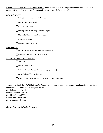**MISSION CONTRIBUTIONS FOR 2013 –** The following people and organizations received donations for the year of 2013. (Please see the Treasurers Report for exact dollar amounts.)

#### *DOOR COUNTY*

Esdras & Karen Krebsky Latin America

**?** SCANDIA Capital Campaign

? HELP of Door County

Ministry Fund Door County Memorial Hospital

Shepherd of the Bay Parish Nurse Program

**?** Koinonia Kupboard

Feed and Clothe My People

#### *WISCONSIN*

Phetsamone Vannanong, Lao Ministry in Milwaukee

Reformation Lutheran Church, Milwaukee

#### *INTERNATIONAL DONATIONS*

Word Made Flesh

Lutheran World Relief

Lutheran World Relief Comfort Fund (shipping of quilts)

Selian Lutheran Hospital, Tanzania

Good Samaritan Society Project for women & children, Columbia

*Thank you*to all the *WELCA Executive Board* members and to committee chairs who planned and organized the many events and studies throughout the year.

Carole Bergner – President Sharon Donegan - 1st VP Cheri Boock - 2nd VP Carol Weber - Secretary Cathy Mangan - Treasurer.

*Carole Bergner, WELCA President*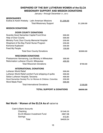## **SHEPHERD OF THE BAY LUTHERAN WOMEN of the ELCA MISSIONARY SUPPORT AND MISSION DONATIONS**

January 1 through December 31, 2013

#### **MISSIONARIES**

| Esdras & Karen Krebsky Latin American Missions<br><b>Total Missionary Support</b> | \$1,200.00 | \$1,200.00 |
|-----------------------------------------------------------------------------------|------------|------------|
| <b>MISSION DONATIONS</b>                                                          |            |            |
| <b>DOOR COUNTY DONATIONS</b>                                                      |            |            |
| Scandia Good Samaritan Capital Fund Drive                                         | 500.00     |            |
| <b>Help of Door County</b>                                                        | 500.00     |            |
| Ministry Fund, Door County Memorial Hospital                                      | 250.00     |            |
| Shepherd of the Bay Parish Nurse Program                                          | 250.00     |            |
| Koinonia Kupboard                                                                 | 350.00     |            |
| Feed My People                                                                    | 150.00     |            |
| <b>Total Door County Donations</b>                                                |            | \$2000.00  |
| <b>WISCONSIN DONATIONS</b>                                                        |            |            |
| Phetsamone Vannanong, Lao Ministry in Milwaukee                                   | 300.00     |            |
| Reformation Lutheran Church, Milwaukee                                            | 400.00     |            |
| <b>Total Wisconsin Donations</b>                                                  |            | \$700.00   |
| <b>INTERNATIONAL DONATIONS</b>                                                    |            |            |
| Lutheran World Relief                                                             | 500.00     |            |
| Lutheran World Relief comfort Fund (shipping of quilts)                           | 500.00     |            |
| Selian Lutheran Hospital, Tanzania                                                | 400.00     |            |
| Good Samaritan Society Pro. for Women & Children, Columbia                        | 250.00     |            |
| <b>Word Made Flesh</b>                                                            | 500.00     |            |
| <b>Total International Donations</b>                                              |            | 2150.00    |
| <b>TOTAL SUPPORT &amp; DONATIONS</b>                                              | \$6050.00  |            |

## **Net Worth – Women of the ELCA As of 12/31/13**

| Cash & Bank Accounts                |           |
|-------------------------------------|-----------|
| Checking                            | \$1340.35 |
| <b>ELCA Mission Investment Fund</b> | 2867.08   |
| Savings                             | 412.81    |
| Total                               | \$4620.24 |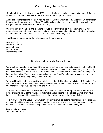## Church Library Annual Report

Our church library collection includes 1697 titles in the form of books, videos, audio tapes, CD's and DVD's. This includes materials for all ages and on many topics of interest.

Again the summer reading program was held in conjunction with Wonderful Wednesdays for children in preschool through grade six. About 28 children checked out books and read for information and enjoyment under the supervision of Cynthia Drey.

We invite church members and friends to browse the library shelves in the Fellowship Hall for materials to meet their needs. We continually add new items purchased from our budget or received as donations. We thank those who have donated materials during the year.

The library is maintained by the following committee members:

Sharon Cobb Phyllis Fitzgerald Angela Foster Donna Hupe Ronnie Robinson

## Building and Grounds Annual Report

We are all very greatful to Linda and Dwight Davis for their efforts and determination with the SOTB Garden Club. They and a number of volunteers made great progress on the church grounds during their work days this summer and fall. Thanks to Linda, Dwight and all the volunteers for their gifts of labor and materials. Thanks also to spring cleanup crew, Don Provo for our lawn care and to John Fitzgerald for plowing the parking lot and driveway.

We are still looking into the feasibility of switching outdoor lighting to more efficient LED lighting. This could reduce electric usage by 1/6th of what we use now. Quantum LED Solutions is also looking at our interior lighting setup, looking at options there too.

Storm windows have been installed on the north windows in the fellowship hall. We are looking at better pricing to do all of the windows in fellowship hall and some in the offices as well. They have helped considerably with the condensation on the north windows in the fellowship hall.

This year Building and Grounds with Worship Committee will be looking into making our worship area more comfortable climate wise, lessening air drafts, better use of fans and keeping temps constant. We want to make our place of worship a comfortable and pleasant place for everyone.

Respectfully submitted: Joel Thomas, Chair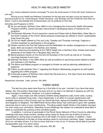## HEALTH AND WELLNESS MINISTRY

Our mission statement remains unchanged "To serve the whole person in Christ with God's healing love and care".

Serving as your Health and Wellness Coordinator for the past year has been a truly eye opening and learning process for me. Carole Bergner, Kristen Demarinis, Judy Reninger and Don Pardonner have been my lifeline. I want to acknowledge their professionalism and my gratitude for their help.

#### Activities and Programs in 2012:

- As you are aware, Northern Door H&W is now managing the Community Health Information Programs (CHIPs). Carole has been instrumental in developing topics of interest for the programs.
- The Ephraim Moravian Church sponsors Loaves and Fishes held at Stella Maris, Sister Bay on the fourth Tuesday of the month. Blood pressure screenings are offered of which I participated three times this year.
- Tai Chi for Health offered by Don and Judy, Tuesday and Thursday mornings. Organize a monthly breakfast for participants in the program.
- Kristen monitors the First Aid Cabinet and the Defibrillator for cardiac emergencies on a weekly basis. Both are located in the Narthex and marked.
- Assist in planning and assisting at the YMCA Health Fair in Northern Door. Kristen took blood pressures at the Health Fair in Sturgeon Bay, this Fall.
- Blood pressure checks on the 2nd and 3rd Sundays of the month as well as on Thursday mornings between 9 and noon.
- Maintain the library in the H&W office as well as bulletins of upcoming events related to health and wellness in the Narthex.
- The Moms and Babes program is managed by Kristen as well as planning celebrations of baptisms.
- Follow up with Northern Door Y regarding the Wisdom Wednesday programs as well bulletin regarding the CHIPs program.
- Continued support of Northern Door Adult Day Services (a.k.a. The Open Door) and attending meetings on a monthly basis.

Respectfully submitted, Cathy Johnson, RN, BSN

## PARISH NURSE

The last two plus years have flown by in the blink of my eye. I wonder if you have that same feeling. Yes, this position does keep me busy and on my toes in an attempt in keeping up with the many changes in healthcare. However, it is a good challenge.

Again, I have made over 400 contacts whether being telephone calls, home visits, nursing home visits or assisted living visits. I have researched, in an effort to connect parishioners with available resources in Door County such as, Social Services, Aging and Disability Resource Center and Neighbor to Neighbor. The H&W/Parish Nurse office library has continued to grow with updated resources due to many of your contributions. Providing weekly Health Notes in the bulletin has been fun and I enjoy your comments. Attending Council Meetings has helped me understand what effort it takes to coordinate the working of this wonderful parish.

In addition, I continue to participate in the Parish Nurse Network of Door County by attending meetings held every three months, sending caring cards for those who are ill either at home or hospitalized or during times of sadness due to the death of a family member. In addition, I reach beyond the Shepherd of the Bay at times sending cards to community members. Again, I appreciate all of our volunteer drivers. It is nice to know that one or two of our 14 drivers will be able to provide transportation even if on short notice.

Respectfully submitted, Cathy Johnson, RN, BS 18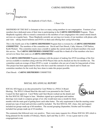## CARING SHEPHERDS



Be shepherds of God's flock…

1 Peter 5:2a

SHEPHERD OF THE BAY is fortunate to have so many caring members in our congregation. Fourteen of our members have dedicated some of their time to participating in the *CARING SHEPHERDS* Program. These Shepherds regularly offer to extend a connection to the members of our congregation who cannot attend church services on a regular basis. These Shepherds currently are serving over twenty of our members with phone calls and visits – taking church bulletins and DVD's to them and offering their caring fellowship.

This is the fourth year of the *CARING SHEPHERDS* Program that is overseen by a *CARING SHEPHERDS COMMITTEE*. The members of this committee are: David and Cheri Boock, Cathy Johnson, Cliff Darken, Keith Wickert. This committee meets once a month to update the current needs of church members who need this service. The *CARING SHEPHERDS COMMITTEE* would like to thank all of the members who have served over these four years as a *CARING SHEPHERD.* 

The *CARING SHEPHERDS* Program continues with the project of making free DVD recordings of the first service available to members along with free DVD Players that can be checked out free for member use. The committee sends an average of three DVD's a week to members who are out of state for long periods of time. This project has been appreciated by those who have used this outreach of our church and we thank our committee members for the work they have done to make this project possible.

Cheri Boock – *CARING SHEPHERDS* COMMITTEE

## SOCIAL SIX ANNUAL REPORT

SOCIAL SIX began as an idea presented by Carol Weber to a WELCA Board Meeting. The WELCA Board liked the idea and it was presented to the Church Council for their approval. Carol Weber and Cheri Boock worked out the details and the first SOCIAL SIX began in June. Members signed up to participate and random drawings were made to compose groups of six who would meet once a month for three



months with the main goal of getting know each other better. The only requirement is that the meeting center around any type of meal and activities could be included. The first SOCIAL SIX (June, July and August) included ten groups made up of 60 members. The second grouping (September, October and November) included four groups made up of 24 members.

The comments that followed were very positive. There were many requests for a Winter SOCIAL SIX which is being planned for the months of February, March, April and May in 2013. It was a great start to a fun congregational event.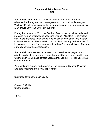#### **Stephen Ministry Annual Report 2013**

Stephen Ministers donated countless hours in formal and informal relationships throughout the congregation and community this past year. We have 15 active ministers in this congregation and one outreach minister at St. Paul's Lutheran Church in Juddville.

During the summer of 2012, the Stephen Team issued a call for dedicated men and women interested in becoming Stephen Ministers. 8 committed individuals answered that call and a new class of candidates was initiated in January of 2013 . Those individuals completed the required 52 hours of training and on June 2, were commissioned as Stephen Ministers. They are currently serving the congregation.

Stephen Ministers are available after church services for prayer or just private words. If you know someone that would benefit from a visit from a Stephen Minister, please contact Barbara MacDonald, Referral Coordinator or Pastor Foster.

Your continued support and prayers for the journey of Stephen Ministers and care receivers are greatly appreciated!

Submitted for Stephen Ministry by

George S. Cobb Stephen Leader

1/3/14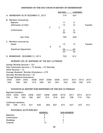## **SHEPHERD OF THE BAY CHURCH REPORT OF MEMBERSHIP**

|                 |                                                                                                                                                                                                                                           |             |             |             |                                     | <b>BAPTIZED</b> |                | <b>CONFIRMED</b>                |                      |             |             |
|-----------------|-------------------------------------------------------------------------------------------------------------------------------------------------------------------------------------------------------------------------------------------|-------------|-------------|-------------|-------------------------------------|-----------------|----------------|---------------------------------|----------------------|-------------|-------------|
|                 | A. MEMBERSHIP AS OF DECEMBER 31, 2012                                                                                                                                                                                                     |             |             |             |                                     |                 |                | 774                             | 637                  |             |             |
|                 | B. Members received by:<br><b>Baptism</b><br>Affirmation of Faith                                                                                                                                                                         |             |             |             | $\overline{c}$                      |                 | $\overline{c}$ | 4<br>12                         | $\overline{0}$<br>12 |             | Transfer    |
|                 | Confirmation                                                                                                                                                                                                                              |             |             |             |                                     |                 |                | $\overline{2}$<br>20            | $\overline{2}$<br>19 |             |             |
|                 |                                                                                                                                                                                                                                           | Sub Total   |             |             |                                     |                 |                | 794                             | 656                  |             |             |
|                 | C. Members removed by:<br>Death                                                                                                                                                                                                           |             |             |             |                                     |                 |                | 13                              | 13                   |             | Transfer    |
|                 | <b>Statistical Adjustment</b>                                                                                                                                                                                                             |             |             |             |                                     | 6<br>6          |                | 25<br>44                        | <u>25</u><br>44      |             |             |
|                 | D. MEMBERSHIP: DECEMBER 31, 2013                                                                                                                                                                                                          |             |             |             |                                     |                 |                | 750                             | 612                  |             |             |
|                 | WORSHIP LIFE OF SHEPHERD OF THE BAY LUTHERAN                                                                                                                                                                                              |             |             |             |                                     |                 |                |                                 |                      |             |             |
| 2003<br>306     | Sunday Worship Services = 101<br>Holy Communion Services = $73$ Sunday + 22 Saturday<br>Other Services = $12$<br>Average Weekend Worship Attendance = 279<br>Saturday Worship Services = 22<br>Average Weekend Attendance:<br>2004<br>296 | 2005<br>302 | 2006<br>319 | 2007<br>289 | 2008<br>301                         | 2009<br>304     |                | 2010<br>326                     | 2011<br>295          | 2012<br>285 | 2013<br>279 |
|                 | STATISTICAL REPORT FOR SHEPHERD OF THE BAY LUTHERAN                                                                                                                                                                                       |             |             |             |                                     |                 |                |                                 |                      |             |             |
| 2003<br>726     | <b>Baptized members:</b><br>2004<br>743                                                                                                                                                                                                   | 2005<br>760 | 2006<br>780 | 2007<br>807 | 2008<br>815                         | 2009<br>819     |                | 2010<br>832                     | 2011<br>798          | 2012<br>774 | 2013<br>750 |
| 587             | Confirmed members:<br>599                                                                                                                                                                                                                 | 615         | 631         | 658         | 664                                 | 667             |                | 673                             | 657                  | 637         | 612         |
|                 | <b>PASTORAL ACTS FOR 2013</b>                                                                                                                                                                                                             |             |             |             |                                     |                 |                |                                 |                      |             |             |
| <b>Funerals</b> | <b>Baptisms</b><br>Confirmation<br>Weddings                                                                                                                                                                                               |             |             |             | <b>MEMBERS</b><br>4<br>9<br>1<br>12 |                 |                | NON-MEMBERS<br>1<br>1<br>3<br>1 |                      |             |             |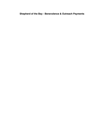**Shepherd of the Bay - Benevolence & Outreach Payments**